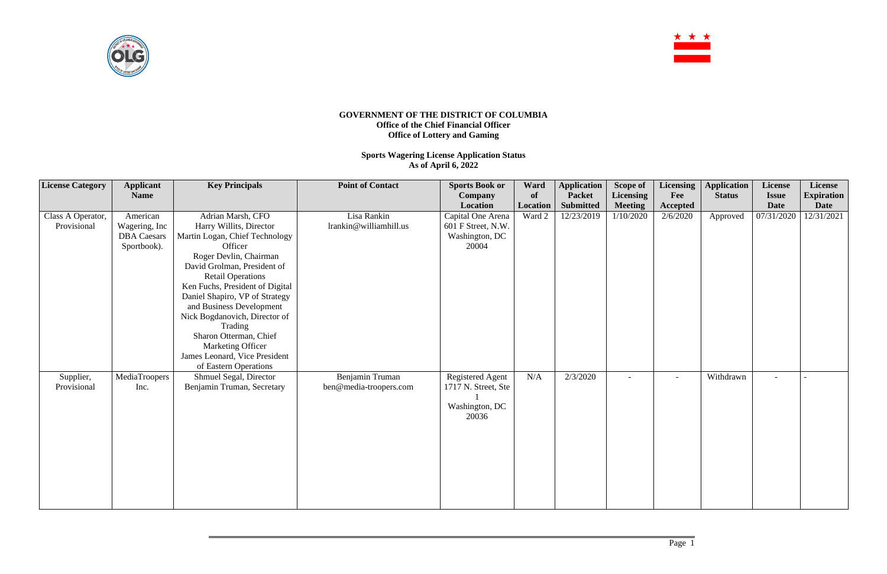

## **GOVERNMENT OF THE DISTRICT OF COLUMBIA Office of the Chief Financial Officer Office of Lottery and Gaming**

**Sports Wagering License Application Status As of April 6, 2022**

| <b>License Category</b>          | <b>Applicant</b><br><b>Name</b>                                | <b>Key Principals</b>                                                                                                                                                                                                                                                                                                                                                                                                                | <b>Point of Contact</b>                   | <b>Sports Book or</b><br>Company<br>Location                              | Ward<br>of<br>Location | <b>Application</b><br><b>Packet</b><br><b>Submitted</b> | Scope of<br><b>Licensing</b><br><b>Meeting</b> | Licensing<br>Fee<br>Accepted | <b>Application</b><br><b>Status</b> | License<br><b>Issue</b><br><b>Date</b> | License<br><b>Expiration</b><br><b>Date</b> |
|----------------------------------|----------------------------------------------------------------|--------------------------------------------------------------------------------------------------------------------------------------------------------------------------------------------------------------------------------------------------------------------------------------------------------------------------------------------------------------------------------------------------------------------------------------|-------------------------------------------|---------------------------------------------------------------------------|------------------------|---------------------------------------------------------|------------------------------------------------|------------------------------|-------------------------------------|----------------------------------------|---------------------------------------------|
| Class A Operator,<br>Provisional | American<br>Wagering, Inc<br><b>DBA</b> Caesars<br>Sportbook). | Adrian Marsh, CFO<br>Harry Willits, Director<br>Martin Logan, Chief Technology<br>Officer<br>Roger Devlin, Chairman<br>David Grolman, President of<br><b>Retail Operations</b><br>Ken Fuchs, President of Digital<br>Daniel Shapiro, VP of Strategy<br>and Business Development<br>Nick Bogdanovich, Director of<br>Trading<br>Sharon Otterman, Chief<br>Marketing Officer<br>James Leonard, Vice President<br>of Eastern Operations | Lisa Rankin<br>lrankin@williamhill.us     | Capital One Arena<br>601 F Street, N.W.<br>Washington, DC<br>20004        | Ward 2                 | 12/23/2019                                              | 1/10/2020                                      | 2/6/2020                     | Approved                            | 07/31/2020                             | 12/31/2021                                  |
| Supplier,<br>Provisional         | MediaTroopers<br>Inc.                                          | Shmuel Segal, Director<br>Benjamin Truman, Secretary                                                                                                                                                                                                                                                                                                                                                                                 | Benjamin Truman<br>ben@media-troopers.com | <b>Registered Agent</b><br>1717 N. Street, Ste<br>Washington, DC<br>20036 | N/A                    | 2/3/2020                                                |                                                |                              | Withdrawn                           |                                        |                                             |

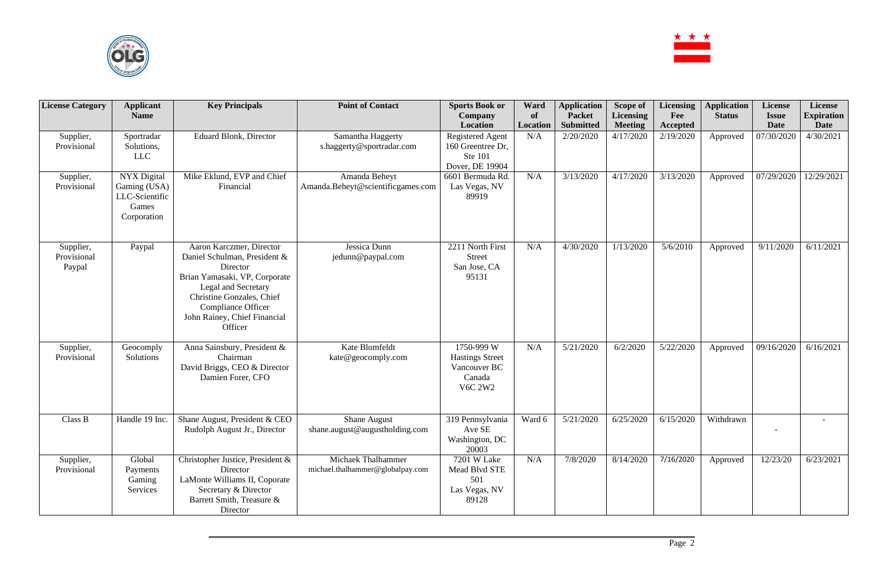

| <b>License Category</b>            | <b>Applicant</b><br><b>Name</b>                                              | <b>Key Principals</b>                                                                                                                                                                                                      | <b>Point of Contact</b>                                | <b>Sports Book or</b><br><b>Company</b>                                           | Ward<br>of | <b>Application</b><br><b>Packet</b> | Scope of<br><b>Licensing</b> | <b>Licensing</b><br>Fee | <b>Application</b><br><b>Status</b> | <b>License</b><br><b>Issue</b> | License<br><b>Expiration</b> |
|------------------------------------|------------------------------------------------------------------------------|----------------------------------------------------------------------------------------------------------------------------------------------------------------------------------------------------------------------------|--------------------------------------------------------|-----------------------------------------------------------------------------------|------------|-------------------------------------|------------------------------|-------------------------|-------------------------------------|--------------------------------|------------------------------|
|                                    |                                                                              |                                                                                                                                                                                                                            |                                                        | Location                                                                          | Location   | <b>Submitted</b>                    | <b>Meeting</b>               | Accepted                |                                     | <b>Date</b>                    | <b>Date</b>                  |
| Supplier,<br>Provisional           | Sportradar<br>Solutions,<br><b>LLC</b>                                       | <b>Eduard Blonk, Director</b>                                                                                                                                                                                              | Samantha Haggerty<br>s.haggerty@sportradar.com         | <b>Registered Agent</b><br>160 Greentree Dr.<br><b>Ste 101</b><br>Dover, DE 19904 | N/A        | 2/20/2020                           | 4/17/2020                    | 2/19/2020               | Approved                            | 07/30/2020                     | 4/30/2021                    |
| Supplier,<br>Provisional           | <b>NYX Digital</b><br>Gaming (USA)<br>LLC-Scientific<br>Games<br>Corporation | Mike Eklund, EVP and Chief<br>Financial                                                                                                                                                                                    | Amanda Beheyt<br>Amanda.Beheyt@scientificgames.com     | 6601 Bermuda Rd.<br>Las Vegas, NV<br>89919                                        | N/A        | 3/13/2020                           | 4/17/2020                    | 3/13/2020               | Approved                            | 07/29/2020                     | 12/29/2021                   |
| Supplier,<br>Provisional<br>Paypal | Paypal                                                                       | Aaron Karczmer, Director<br>Daniel Schulman, President &<br>Director<br>Brian Yamasaki, VP, Corporate<br>Legal and Secretary<br>Christine Gonzales, Chief<br>Compliance Officer<br>John Rainey, Chief Financial<br>Officer | Jessica Dunn<br>jedunn@paypal.com                      | 2211 North First<br><b>Street</b><br>San Jose, CA<br>95131                        | N/A        | 4/30/2020                           | 1/13/2020                    | 5/6/2010                | Approved                            | 9/11/2020                      | 6/11/2021                    |
| Supplier,<br>Provisional           | Geocomply<br>Solutions                                                       | Anna Sainsbury, President &<br>Chairman<br>David Briggs, CEO & Director<br>Damien Forer, CFO                                                                                                                               | Kate Blomfeldt<br>kate@geocomply.com                   | 1750-999 W<br><b>Hastings Street</b><br>Vancouver BC<br>Canada<br><b>V6C 2W2</b>  | N/A        | 5/21/2020                           | 6/2/2020                     | 5/22/2020               | Approved                            | 09/16/2020                     | 6/16/2021                    |
| Class B                            | Handle 19 Inc.                                                               | Shane August, President & CEO<br>Rudolph August Jr., Director                                                                                                                                                              | <b>Shane August</b><br>shane.august@augustholding.com  | 319 Pennsylvania<br>Ave SE<br>Washington, DC<br>20003                             | Ward 6     | 5/21/2020                           | 6/25/2020                    | 6/15/2020               | Withdrawn                           |                                |                              |
| Supplier,<br>Provisional           | Global<br>Payments<br>Gaming<br>Services                                     | Christopher Justice, President &<br>Director<br>LaMonte Williams II, Coporate<br>Secretary & Director<br>Barrett Smith, Treasure &<br>Director                                                                             | Michaek Thalhammer<br>michael.thalhammer@globalpay.com | 7201 W Lake<br>Mead Blvd STE<br>501<br>Las Vegas, NV<br>89128                     | N/A        | 7/8/2020                            | 8/14/2020                    | 7/16/2020               | Approved                            | 12/23/20                       | 6/23/2021                    |

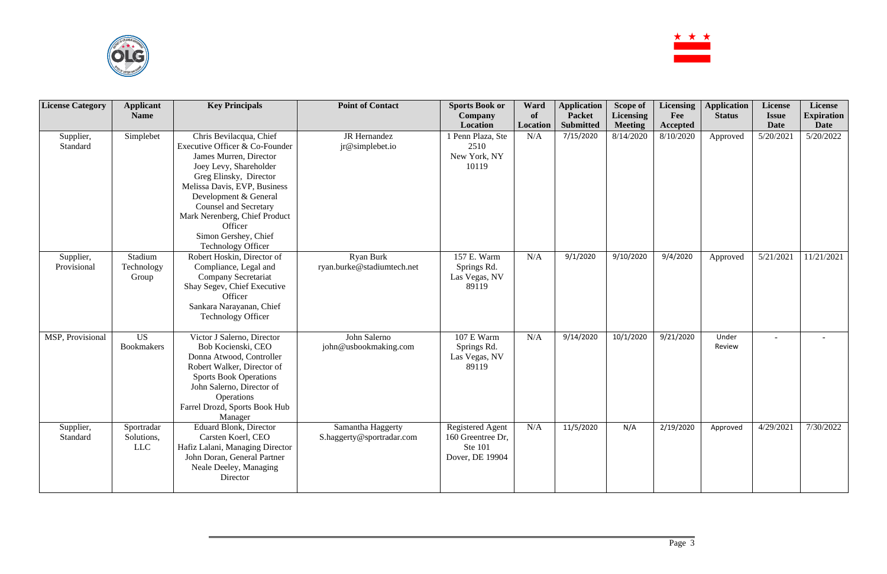

| <b>License Category</b>  | <b>Applicant</b><br><b>Name</b>        | <b>Key Principals</b>                                                                                                                                                                                                                                                                                                             | <b>Point of Contact</b>                        | <b>Sports Book or</b><br><b>Company</b><br>Location                               | Ward<br>of<br>Location | <b>Application</b><br><b>Packet</b><br><b>Submitted</b> | <b>Scope of</b><br><b>Licensing</b><br><b>Meeting</b> | <b>Licensing</b><br>Fee<br>Accepted | <b>Application</b><br><b>Status</b> | License<br><b>Issue</b><br><b>Date</b> | License<br><b>Expiration</b><br><b>Date</b> |
|--------------------------|----------------------------------------|-----------------------------------------------------------------------------------------------------------------------------------------------------------------------------------------------------------------------------------------------------------------------------------------------------------------------------------|------------------------------------------------|-----------------------------------------------------------------------------------|------------------------|---------------------------------------------------------|-------------------------------------------------------|-------------------------------------|-------------------------------------|----------------------------------------|---------------------------------------------|
| Supplier,<br>Standard    | Simplebet                              | Chris Bevilacqua, Chief<br>Executive Officer & Co-Founder<br>James Murren, Director<br>Joey Levy, Shareholder<br>Greg Elinsky, Director<br>Melissa Davis, EVP, Business<br>Development & General<br><b>Counsel and Secretary</b><br>Mark Nerenberg, Chief Product<br>Officer<br>Simon Gershey, Chief<br><b>Technology Officer</b> | JR Hernandez<br>jr@simplebet.io                | 1 Penn Plaza, Ste<br>2510<br>New York, NY<br>10119                                | N/A                    | 7/15/2020                                               | 8/14/2020                                             | 8/10/2020                           | Approved                            | 5/20/2021                              | 5/20/2022                                   |
| Supplier,<br>Provisional | Stadium<br>Technology<br>Group         | Robert Hoskin, Director of<br>Compliance, Legal and<br>Company Secretariat<br>Shay Segev, Chief Executive<br>Officer<br>Sankara Narayanan, Chief<br>Technology Officer                                                                                                                                                            | <b>Ryan Burk</b><br>ryan.burke@stadiumtech.net | 157 E. Warm<br>Springs Rd.<br>Las Vegas, NV<br>89119                              | N/A                    | 9/1/2020                                                | 9/10/2020                                             | 9/4/2020                            | Approved                            | 5/21/2021                              | 11/21/2021                                  |
| MSP, Provisional         | <b>US</b><br>Bookmakers                | Victor J Salerno, Director<br>Bob Kocienski, CEO<br>Donna Atwood, Controller<br>Robert Walker, Director of<br><b>Sports Book Operations</b><br>John Salerno, Director of<br><b>Operations</b><br>Farrel Drozd, Sports Book Hub<br>Manager                                                                                         | John Salerno<br>john@usbookmaking.com          | 107 E Warm<br>Springs Rd.<br>Las Vegas, NV<br>89119                               | N/A                    | 9/14/2020                                               | 10/1/2020                                             | 9/21/2020                           | Under<br>Review                     | $\overline{\phantom{a}}$               | $\overline{\phantom{a}}$                    |
| Supplier,<br>Standard    | Sportradar<br>Solutions,<br><b>LLC</b> | <b>Eduard Blonk, Director</b><br>Carsten Koerl, CEO<br>Hafiz Lalani, Managing Director<br>John Doran, General Partner<br>Neale Deeley, Managing<br>Director                                                                                                                                                                       | Samantha Haggerty<br>S.haggerty@sportradar.com | <b>Registered Agent</b><br>160 Greentree Dr,<br><b>Ste 101</b><br>Dover, DE 19904 | N/A                    | 11/5/2020                                               | N/A                                                   | 2/19/2020                           | Approved                            | 4/29/2021                              | 7/30/2022                                   |

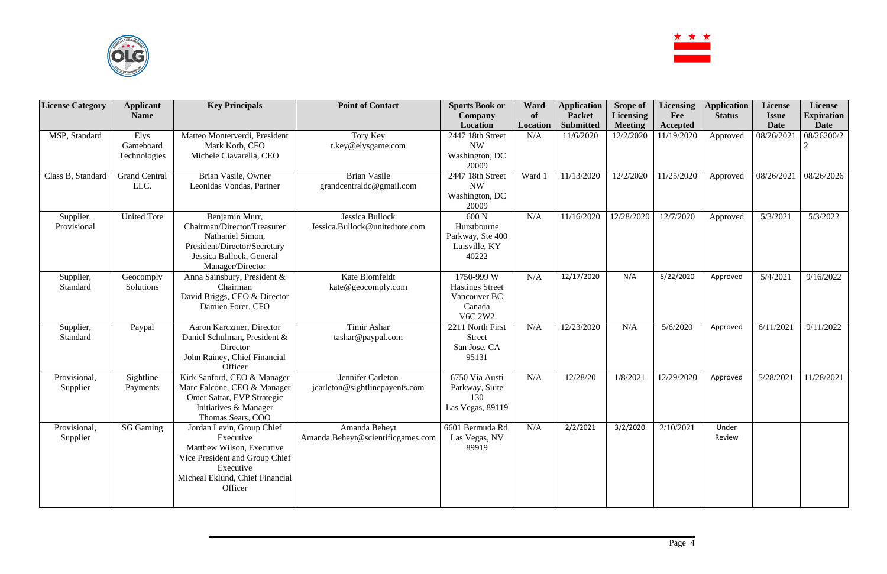

| <b>License Category</b> | <b>Applicant</b>     | <b>Key Principals</b>                       | <b>Point of Contact</b>           | <b>Sports Book or</b>   | Ward      | <b>Application</b> | Scope of         | <b>Licensing</b> | <b>Application</b> | License      | License           |
|-------------------------|----------------------|---------------------------------------------|-----------------------------------|-------------------------|-----------|--------------------|------------------|------------------|--------------------|--------------|-------------------|
|                         | <b>Name</b>          |                                             |                                   | <b>Company</b>          | <b>of</b> | <b>Packet</b>      | <b>Licensing</b> | Fee              | <b>Status</b>      | <b>Issue</b> | <b>Expiration</b> |
|                         |                      |                                             |                                   | Location                | Location  | <b>Submitted</b>   | <b>Meeting</b>   | Accepted         |                    | <b>Date</b>  | <b>Date</b>       |
| MSP, Standard           | Elys                 | Matteo Monterverdi, President               | Tory Key                          | 2447 18th Street        | N/A       | 11/6/2020          | 12/2/2020        | 11/19/2020       | Approved           | 08/26/2021   | 08/26200/2        |
|                         | Gameboard            | Mark Korb, CFO                              | t.key@elysgame.com                | <b>NW</b>               |           |                    |                  |                  |                    |              |                   |
|                         | Technologies         | Michele Ciavarella, CEO                     |                                   | Washington, DC          |           |                    |                  |                  |                    |              |                   |
|                         |                      |                                             |                                   | 20009                   |           |                    |                  |                  |                    |              |                   |
| Class B, Standard       | <b>Grand Central</b> | Brian Vasile, Owner                         | <b>Brian Vasile</b>               | 2447 18th Street        | Ward 1    | 11/13/2020         | 12/2/2020        | 1/25/2020        | Approved           | 08/26/2021   | 08/26/2026        |
|                         | LLC.                 | Leonidas Vondas, Partner                    | grandcentraldc@gmail.com          | <b>NW</b>               |           |                    |                  |                  |                    |              |                   |
|                         |                      |                                             |                                   | Washington, DC<br>20009 |           |                    |                  |                  |                    |              |                   |
| Supplier,               | <b>United Tote</b>   | Benjamin Murr,                              | Jessica Bullock                   | 600 N                   | N/A       | 11/16/2020         | 12/28/2020       | 12/7/2020        | Approved           | 5/3/2021     | 5/3/2022          |
| Provisional             |                      | Chairman/Director/Treasurer                 | Jessica.Bullock@unitedtote.com    | Hurstbourne             |           |                    |                  |                  |                    |              |                   |
|                         |                      | Nathaniel Simon,                            |                                   | Parkway, Ste 400        |           |                    |                  |                  |                    |              |                   |
|                         |                      | President/Director/Secretary                |                                   | Luisville, KY           |           |                    |                  |                  |                    |              |                   |
|                         |                      | Jessica Bullock, General                    |                                   | 40222                   |           |                    |                  |                  |                    |              |                   |
|                         |                      | Manager/Director                            |                                   |                         |           |                    |                  |                  |                    |              |                   |
| Supplier,               | Geocomply            | Anna Sainsbury, President &                 | Kate Blomfeldt                    | 1750-999 W              | N/A       | 12/17/2020         | N/A              | 5/22/2020        | Approved           | 5/4/2021     | 9/16/2022         |
| Standard                | Solutions            | Chairman                                    | kate@geocomply.com                | <b>Hastings Street</b>  |           |                    |                  |                  |                    |              |                   |
|                         |                      | David Briggs, CEO & Director                |                                   | Vancouver BC            |           |                    |                  |                  |                    |              |                   |
|                         |                      | Damien Forer, CFO                           |                                   | Canada                  |           |                    |                  |                  |                    |              |                   |
|                         |                      |                                             |                                   | <b>V6C 2W2</b>          |           |                    |                  |                  |                    |              |                   |
| Supplier,               | Paypal               | Aaron Karczmer, Director                    | Timir Ashar                       | 2211 North First        | N/A       | 12/23/2020         | N/A              | 5/6/2020         | Approved           | 6/11/2021    | 9/11/2022         |
| Standard                |                      | Daniel Schulman, President &                | tashar@paypal.com                 | <b>Street</b>           |           |                    |                  |                  |                    |              |                   |
|                         |                      | Director                                    |                                   | San Jose, CA            |           |                    |                  |                  |                    |              |                   |
|                         |                      | John Rainey, Chief Financial                |                                   | 95131                   |           |                    |                  |                  |                    |              |                   |
|                         |                      | Officer                                     |                                   |                         |           |                    |                  |                  |                    |              |                   |
| Provisional,            | Sightline            | Kirk Sanford, CEO & Manager                 | Jennifer Carleton                 | 6750 Via Austi          | N/A       | 12/28/20           | 1/8/2021         | 12/29/2020       | Approved           | 5/28/2021    | 11/28/2021        |
| Supplier                | Payments             | Marc Falcone, CEO & Manager                 | jcarleton@sightlinepayents.com    | Parkway, Suite          |           |                    |                  |                  |                    |              |                   |
|                         |                      | Omer Sattar, EVP Strategic                  |                                   | 130                     |           |                    |                  |                  |                    |              |                   |
|                         |                      | Initiatives & Manager                       |                                   | Las Vegas, 89119        |           |                    |                  |                  |                    |              |                   |
|                         |                      | Thomas Sears, COO                           |                                   |                         |           |                    |                  |                  |                    |              |                   |
| Provisional,            | <b>SG Gaming</b>     | Jordan Levin, Group Chief                   | Amanda Beheyt                     | 6601 Bermuda Rd.        | N/A       | 2/2/2021           | 3/2/2020         | 2/10/2021        | Under              |              |                   |
| Supplier                |                      | Executive<br>Matthew Wilson, Executive      | Amanda.Beheyt@scientificgames.com | Las Vegas, NV           |           |                    |                  |                  | Review             |              |                   |
|                         |                      |                                             |                                   | 89919                   |           |                    |                  |                  |                    |              |                   |
|                         |                      | Vice President and Group Chief<br>Executive |                                   |                         |           |                    |                  |                  |                    |              |                   |
|                         |                      | Micheal Eklund, Chief Financial             |                                   |                         |           |                    |                  |                  |                    |              |                   |
|                         |                      | Officer                                     |                                   |                         |           |                    |                  |                  |                    |              |                   |
|                         |                      |                                             |                                   |                         |           |                    |                  |                  |                    |              |                   |
|                         |                      |                                             |                                   |                         |           |                    |                  |                  |                    |              |                   |

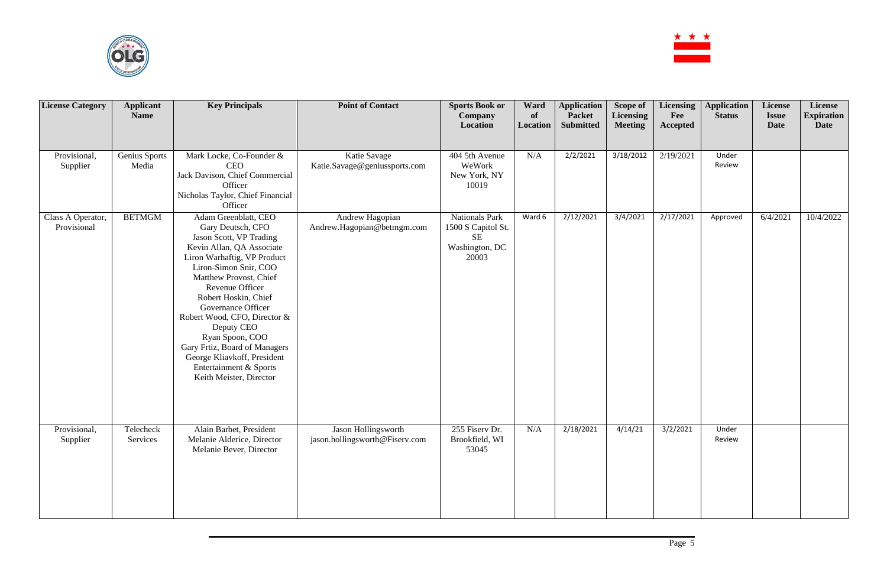

| <b>License Category</b>          | <b>Applicant</b><br><b>Name</b> | <b>Key Principals</b>                                                                                                                                                                                                                                                                                                                                                                                                                      | <b>Point of Contact</b>                               | <b>Sports Book or</b><br><b>Company</b><br>Location                          | Ward<br>of<br>Location | <b>Application</b><br><b>Packet</b><br><b>Submitted</b> | Scope of<br>Licensing<br><b>Meeting</b> | Licensing<br>Fee<br><b>Accepted</b> | <b>Application</b><br><b>Status</b> | License<br><b>Issue</b><br>Date | License<br><b>Expiration</b><br>Date |
|----------------------------------|---------------------------------|--------------------------------------------------------------------------------------------------------------------------------------------------------------------------------------------------------------------------------------------------------------------------------------------------------------------------------------------------------------------------------------------------------------------------------------------|-------------------------------------------------------|------------------------------------------------------------------------------|------------------------|---------------------------------------------------------|-----------------------------------------|-------------------------------------|-------------------------------------|---------------------------------|--------------------------------------|
| Provisional,<br>Supplier         | Genius Sports<br>Media          | Mark Locke, Co-Founder &<br><b>CEO</b><br>Jack Davison, Chief Commercial<br>Officer<br>Nicholas Taylor, Chief Financial<br>Officer                                                                                                                                                                                                                                                                                                         | Katie Savage<br>Katie.Savage@geniussports.com         | 404 5th Avenue<br>WeWork<br>New York, NY<br>10019                            | N/A                    | 2/2/2021                                                | 3/18/2012                               | 2/19/2021                           | Under<br>Review                     |                                 |                                      |
| Class A Operator,<br>Provisional | <b>BETMGM</b>                   | Adam Greenblatt, CEO<br>Gary Deutsch, CFO<br>Jason Scott, VP Trading<br>Kevin Allan, QA Associate<br>Liron Warhaftig, VP Product<br>Liron-Simon Snir, COO<br>Matthew Provost, Chief<br>Revenue Officer<br>Robert Hoskin, Chief<br>Governance Officer<br>Robert Wood, CFO, Director &<br>Deputy CEO<br>Ryan Spoon, COO<br>Gary Frtiz, Board of Managers<br>George Kliavkoff, President<br>Entertainment & Sports<br>Keith Meister, Director | Andrew Hagopian<br>Andrew.Hagopian@betmgm.com         | <b>Nationals Park</b><br>1500 S Capitol St.<br>SE<br>Washington, DC<br>20003 | Ward 6                 | 2/12/2021                                               | 3/4/2021                                | 2/17/2021                           | Approved                            | 6/4/2021                        | 10/4/2022                            |
| Provisional,<br>Supplier         | Telecheck<br>Services           | Alain Barbet, President<br>Melanie Alderice, Director<br>Melanie Bever, Director                                                                                                                                                                                                                                                                                                                                                           | Jason Hollingsworth<br>jason.hollingsworth@Fiserv.com | 255 Fiserv Dr.<br>Brookfield, WI<br>53045                                    | N/A                    | 2/18/2021                                               | 4/14/21                                 | 3/2/2021                            | Under<br>Review                     |                                 |                                      |

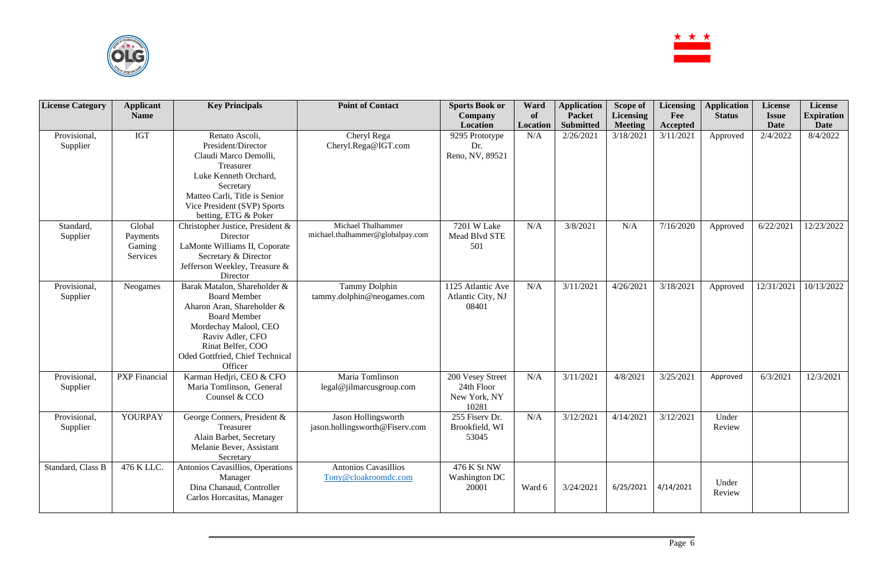

| <b>License Category</b>  | <b>Applicant</b>                         | <b>Key Principals</b>                                                                                                                                                                                                    | <b>Point of Contact</b>                                | <b>Sports Book or</b>                                   | Ward           | <b>Application</b>                | Scope of                           | <b>Licensing</b> | <b>Application</b> | <b>License</b>              | License                          |
|--------------------------|------------------------------------------|--------------------------------------------------------------------------------------------------------------------------------------------------------------------------------------------------------------------------|--------------------------------------------------------|---------------------------------------------------------|----------------|-----------------------------------|------------------------------------|------------------|--------------------|-----------------------------|----------------------------------|
|                          | <b>Name</b>                              |                                                                                                                                                                                                                          |                                                        | <b>Company</b><br>Location                              | of<br>Location | <b>Packet</b><br><b>Submitted</b> | <b>Licensing</b><br><b>Meeting</b> | Fee<br>Accepted  | <b>Status</b>      | <b>Issue</b><br><b>Date</b> | <b>Expiration</b><br><b>Date</b> |
| Provisional,<br>Supplier | <b>IGT</b>                               | Renato Ascoli,<br>President/Director<br>Claudi Marco Demolli,<br>Treasurer<br>Luke Kenneth Orchard,<br>Secretary<br>Matteo Carli, Title is Senior<br>Vice President (SVP) Sports<br>betting, ETG & Poker                 | Cheryl Rega<br>Cheryl.Rega@IGT.com                     | 9295 Prototype<br>Dr.<br>Reno, NV, 89521                | N/A            | 2/26/2021                         | 3/18/2021                          | 3/11/2021        | Approved           | 2/4/2022                    | 8/4/2022                         |
| Standard,<br>Supplier    | Global<br>Payments<br>Gaming<br>Services | Christopher Justice, President &<br>Director<br>LaMonte Williams II, Coporate<br>Secretary & Director<br>Jefferson Weekley, Treasure &<br>Director                                                                       | Michael Thalhammer<br>michael.thalhammer@globalpay.com | 7201 W Lake<br>Mead Blvd STE<br>501                     | N/A            | 3/8/2021                          | N/A                                | 7/16/2020        | Approved           | 6/22/2021                   | 12/23/2022                       |
| Provisional,<br>Supplier | Neogames                                 | Barak Matalon, Shareholder &<br><b>Board Member</b><br>Aharon Aran, Shareholder &<br><b>Board Member</b><br>Mordechay Malool, CEO<br>Raviv Adler, CFO<br>Rinat Belfer, COO<br>Oded Gottfried, Chief Technical<br>Officer | <b>Tammy Dolphin</b><br>tammy.dolphin@neogames.com     | 1125 Atlantic Ave<br>Atlantic City, NJ<br>08401         | N/A            | 3/11/2021                         | 4/26/2021                          | 3/18/2021        | Approved           | 12/31/2021                  | 10/13/2022                       |
| Provisional,<br>Supplier | <b>PXP</b> Financial                     | Karman Hedjri, CEO & CFO<br>Maria Tomlinson, General<br>Counsel & CCO                                                                                                                                                    | Maria Tomlinson<br>legal@jilmarcusgroup.com            | 200 Vesey Street<br>24th Floor<br>New York, NY<br>10281 | N/A            | 3/11/2021                         | 4/8/2021                           | 3/25/2021        | Approved           | 6/3/2021                    | 12/3/2021                        |
| Provisional,<br>Supplier | YOURPAY                                  | George Conners, President &<br>Treasurer<br>Alain Barbet, Secretary<br>Melanie Bever, Assistant<br>Secretary                                                                                                             | Jason Hollingsworth<br>jason.hollingsworth@Fiserv.com  | 255 Fiserv Dr.<br>Brookfield, WI<br>53045               | N/A            | 3/12/2021                         | 4/14/2021                          | 3/12/2021        | Under<br>Review    |                             |                                  |
| Standard, Class B        | 476 K LLC.                               | Antonios Cavasillios, Operations<br>Manager<br>Dina Chanaud, Controller<br>Carlos Horcasitas, Manager                                                                                                                    | <b>Antonios Cavasillios</b><br>Tony@cloakroomdc.com    | 476 K St NW<br>Washington DC<br>20001                   | Ward 6         | 3/24/2021                         | 6/25/2021                          | 4/14/2021        | Under<br>Review    |                             |                                  |

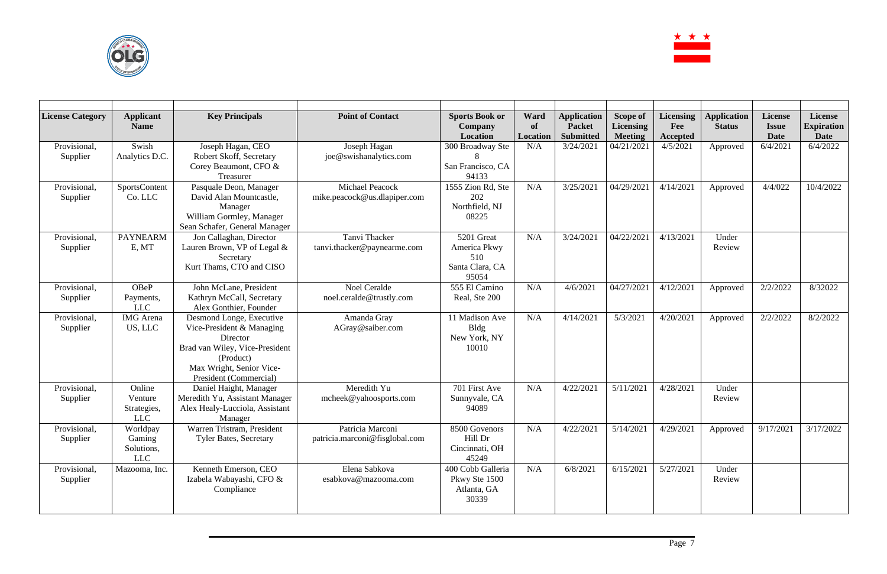

| <b>License Category</b>  | <b>Applicant</b><br><b>Name</b>                 | <b>Key Principals</b>                                                                                                                                                  | <b>Point of Contact</b>                            | <b>Sports Book or</b><br><b>Company</b><br>Location           | Ward<br>of<br><b>Location</b> | <b>Application</b><br><b>Packet</b><br><b>Submitted</b> | <b>Scope of</b><br><b>Licensing</b><br><b>Meeting</b> | <b>Licensing</b><br>Fee<br><b>Accepted</b> | <b>Application</b><br><b>Status</b> | <b>License</b><br><b>Issue</b><br><b>Date</b> | License<br><b>Expiration</b><br><b>Date</b> |
|--------------------------|-------------------------------------------------|------------------------------------------------------------------------------------------------------------------------------------------------------------------------|----------------------------------------------------|---------------------------------------------------------------|-------------------------------|---------------------------------------------------------|-------------------------------------------------------|--------------------------------------------|-------------------------------------|-----------------------------------------------|---------------------------------------------|
| Provisional,<br>Supplier | Swish<br>Analytics D.C.                         | Joseph Hagan, CEO<br>Robert Skoff, Secretary<br>Corey Beaumont, CFO &<br>Treasurer                                                                                     | Joseph Hagan<br>joe@swishanalytics.com             | 300 Broadway Ste<br>San Francisco, CA<br>94133                | N/A                           | 3/24/2021                                               | 04/21/2021                                            | 4/5/2021                                   | Approved                            | 6/4/2021                                      | 6/4/2022                                    |
| Provisional,<br>Supplier | SportsContent<br>Co. LLC                        | Pasquale Deon, Manager<br>David Alan Mountcastle,<br>Manager<br>William Gormley, Manager<br>Sean Schafer, General Manager                                              | Michael Peacock<br>mike.peacock@us.dlapiper.com    | 1555 Zion Rd, Ste<br>202<br>Northfield, NJ<br>08225           | N/A                           | 3/25/2021                                               | 04/29/2021                                            | 4/14/2021                                  | Approved                            | 4/4/022                                       | 10/4/2022                                   |
| Provisional,<br>Supplier | <b>PAYNEARM</b><br>E, MT                        | Jon Callaghan, Director<br>Lauren Brown, VP of Legal &<br>Secretary<br>Kurt Thams, CTO and CISO                                                                        | Tanvi Thacker<br>tanvi.thacker@paynearme.com       | 5201 Great<br>America Pkwy<br>510<br>Santa Clara, CA<br>95054 | N/A                           | 3/24/2021                                               | 04/22/2021                                            | 4/13/2021                                  | Under<br>Review                     |                                               |                                             |
| Provisional,<br>Supplier | OBeP<br>Payments,<br><b>LLC</b>                 | John McLane, President<br>Kathryn McCall, Secretary<br>Alex Gonthier, Founder                                                                                          | <b>Noel Ceralde</b><br>noel.ceralde@trustly.com    | 555 El Camino<br>Real, Ste 200                                | N/A                           | 4/6/2021                                                | 04/27/2021                                            | 4/12/2021                                  | Approved                            | 2/2/2022                                      | 8/32022                                     |
| Provisional,<br>Supplier | <b>IMG</b> Arena<br>US, LLC                     | Desmond Longe, Executive<br>Vice-President & Managing<br>Director<br>Brad van Wiley, Vice-President<br>(Product)<br>Max Wright, Senior Vice-<br>President (Commercial) | Amanda Gray<br>AGray@saiber.com                    | 11 Madison Ave<br><b>Bldg</b><br>New York, NY<br>10010        | N/A                           | 4/14/2021                                               | 5/3/2021                                              | 4/20/2021                                  | Approved                            | 2/2/2022                                      | 8/2/2022                                    |
| Provisional,<br>Supplier | Online<br>Venture<br>Strategies,<br><b>LLC</b>  | Daniel Haight, Manager<br>Meredith Yu, Assistant Manager<br>Alex Healy-Lucciola, Assistant<br>Manager                                                                  | Meredith Yu<br>mcheek@yahoosports.com              | 701 First Ave<br>Sunnyvale, CA<br>94089                       | N/A                           | 4/22/2021                                               | 5/11/202                                              | 4/28/2021                                  | Under<br>Review                     |                                               |                                             |
| Provisional,<br>Supplier | Worldpay<br>Gaming<br>Solutions,<br>${\rm LLC}$ | Warren Tristram, President<br><b>Tyler Bates, Secretary</b>                                                                                                            | Patricia Marconi<br>patricia.marconi@fisglobal.com | 8500 Govenors<br>Hill Dr<br>Cincinnati, OH<br>45249           | N/A                           | 4/22/2021                                               | 5/14/2021                                             | 4/29/2021                                  | Approved                            | 9/17/2021                                     | 3/17/2022                                   |
| Provisional,<br>Supplier | Mazooma, Inc.                                   | Kenneth Emerson, CEO<br>Izabela Wabayashi, CFO &<br>Compliance                                                                                                         | Elena Sabkova<br>esabkova@mazooma.com              | 400 Cobb Galleria<br>Pkwy Ste 1500<br>Atlanta, GA<br>30339    | N/A                           | 6/8/2021                                                | 6/15/2021                                             | 5/27/2021                                  | Under<br>Review                     |                                               |                                             |

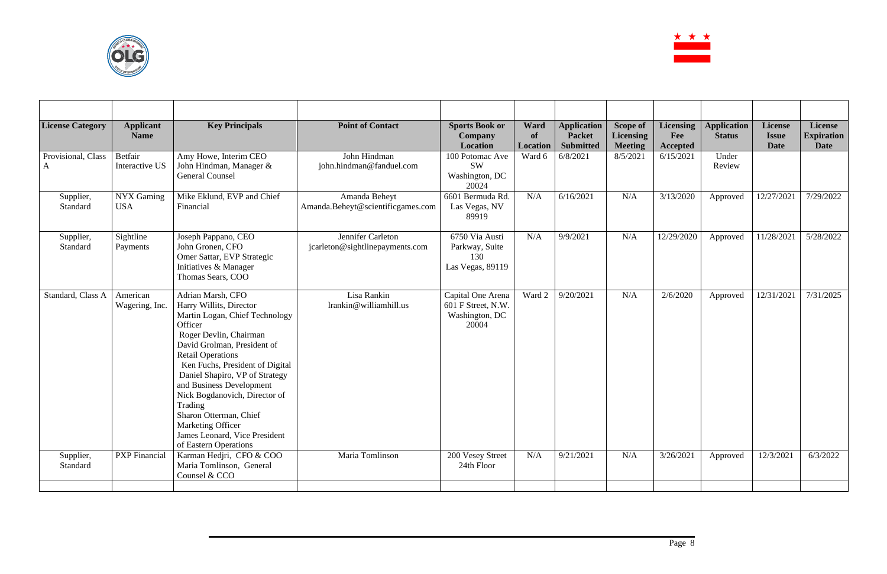

| <b>License Category</b> | <b>Applicant</b><br><b>Name</b> | <b>Key Principals</b>                                                                                                                                                                                                                                                                                                                                                                                                                       | <b>Point of Contact</b>                              | <b>Sports Book or</b><br><b>Company</b><br><b>Location</b>         | Ward<br>of<br><b>Location</b> | <b>Application</b><br><b>Packet</b><br><b>Submitted</b> | <b>Scope of</b><br><b>Licensing</b><br><b>Meeting</b> | <b>Licensing</b><br>Fee<br><b>Accepted</b> | <b>Application</b><br><b>Status</b> | <b>License</b><br><b>Issue</b><br><b>Date</b> | License<br><b>Expiration</b><br><b>Date</b> |
|-------------------------|---------------------------------|---------------------------------------------------------------------------------------------------------------------------------------------------------------------------------------------------------------------------------------------------------------------------------------------------------------------------------------------------------------------------------------------------------------------------------------------|------------------------------------------------------|--------------------------------------------------------------------|-------------------------------|---------------------------------------------------------|-------------------------------------------------------|--------------------------------------------|-------------------------------------|-----------------------------------------------|---------------------------------------------|
| Provisional, Class<br>A | Betfair<br>Interactive US       | Amy Howe, Interim CEO<br>John Hindman, Manager &<br><b>General Counsel</b>                                                                                                                                                                                                                                                                                                                                                                  | John Hindman<br>john.hindman@fanduel.com             | 100 Potomac Ave<br><b>SW</b><br>Washington, DC<br>20024            | Ward 6                        | 6/8/2021                                                | 8/5/2021                                              | 6/15/2021                                  | Under<br>Review                     |                                               |                                             |
| Supplier,<br>Standard   | NYX Gaming<br><b>USA</b>        | Mike Eklund, EVP and Chief<br>Financial                                                                                                                                                                                                                                                                                                                                                                                                     | Amanda Beheyt<br>Amanda.Beheyt@scientificgames.com   | 6601 Bermuda Rd.<br>Las Vegas, NV<br>89919                         | N/A                           | 6/16/2021                                               | N/A                                                   | 3/13/2020                                  | Approved                            | 12/27/2021                                    | 7/29/2022                                   |
| Supplier,<br>Standard   | Sightline<br>Payments           | Joseph Pappano, CEO<br>John Gronen, CFO<br>Omer Sattar, EVP Strategic<br>Initiatives & Manager<br>Thomas Sears, COO                                                                                                                                                                                                                                                                                                                         | Jennifer Carleton<br>jcarleton@sightlinepayments.com | 6750 Via Austi<br>Parkway, Suite<br>130<br>Las Vegas, 89119        | N/A                           | 9/9/2021                                                | N/A                                                   | 12/29/2020                                 | Approved                            | 11/28/2021                                    | 5/28/2022                                   |
| Standard, Class A       | American<br>Wagering, Inc.      | Adrian Marsh, CFO<br>Harry Willits, Director<br>Martin Logan, Chief Technology<br>Officer<br>Roger Devlin, Chairman<br>David Grolman, President of<br><b>Retail Operations</b><br>Ken Fuchs, President of Digital<br>Daniel Shapiro, VP of Strategy<br>and Business Development<br>Nick Bogdanovich, Director of<br>Trading<br>Sharon Otterman, Chief<br><b>Marketing Officer</b><br>James Leonard, Vice President<br>of Eastern Operations | Lisa Rankin<br>lrankin@williamhill.us                | Capital One Arena<br>601 F Street, N.W.<br>Washington, DC<br>20004 | Ward 2                        | 9/20/2021                                               | N/A                                                   | 2/6/2020                                   | Approved                            | 12/31/2021                                    | 7/31/2025                                   |
| Supplier,<br>Standard   | <b>PXP</b> Financial            | Karman Hedjri, CFO & COO<br>Maria Tomlinson, General<br>Counsel & CCO                                                                                                                                                                                                                                                                                                                                                                       | Maria Tomlinson                                      | 200 Vesey Street<br>24th Floor                                     | N/A                           | 9/21/2021                                               | N/A                                                   | 3/26/2021                                  | Approved                            | 12/3/2021                                     | 6/3/2022                                    |
|                         |                                 |                                                                                                                                                                                                                                                                                                                                                                                                                                             |                                                      |                                                                    |                               |                                                         |                                                       |                                            |                                     |                                               |                                             |